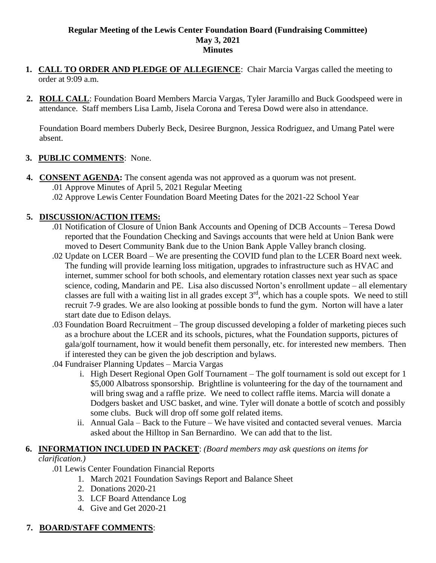#### **Regular Meeting of the Lewis Center Foundation Board (Fundraising Committee) May 3, 2021 Minutes**

- **1. CALL TO ORDER AND PLEDGE OF ALLEGIENCE**: Chair Marcia Vargas called the meeting to order at 9:09 a.m.
- **2. ROLL CALL**: Foundation Board Members Marcia Vargas, Tyler Jaramillo and Buck Goodspeed were in attendance. Staff members Lisa Lamb, Jisela Corona and Teresa Dowd were also in attendance.

Foundation Board members Duberly Beck, Desiree Burgnon, Jessica Rodriguez, and Umang Patel were absent.

## **3. PUBLIC COMMENTS**: None.

**4. CONSENT AGENDA:** The consent agenda was not approved as a quorum was not present. .01 Approve Minutes of April 5, 2021 Regular Meeting .02 Approve Lewis Center Foundation Board Meeting Dates for the 2021-22 School Year

## **5. DISCUSSION/ACTION ITEMS:**

- .01 Notification of Closure of Union Bank Accounts and Opening of DCB Accounts Teresa Dowd reported that the Foundation Checking and Savings accounts that were held at Union Bank were moved to Desert Community Bank due to the Union Bank Apple Valley branch closing.
- .02 Update on LCER Board We are presenting the COVID fund plan to the LCER Board next week. The funding will provide learning loss mitigation, upgrades to infrastructure such as HVAC and internet, summer school for both schools, and elementary rotation classes next year such as space science, coding, Mandarin and PE. Lisa also discussed Norton's enrollment update – all elementary classes are full with a waiting list in all grades except  $3<sup>rd</sup>$ , which has a couple spots. We need to still recruit 7-9 grades. We are also looking at possible bonds to fund the gym. Norton will have a later start date due to Edison delays.
- .03 Foundation Board Recruitment The group discussed developing a folder of marketing pieces such as a brochure about the LCER and its schools, pictures, what the Foundation supports, pictures of gala/golf tournament, how it would benefit them personally, etc. for interested new members. Then if interested they can be given the job description and bylaws.
- .04 Fundraiser Planning Updates Marcia Vargas
	- i. High Desert Regional Open Golf Tournament The golf tournament is sold out except for 1 \$5,000 Albatross sponsorship. Brightline is volunteering for the day of the tournament and will bring swag and a raffle prize. We need to collect raffle items. Marcia will donate a Dodgers basket and USC basket, and wine. Tyler will donate a bottle of scotch and possibly some clubs. Buck will drop off some golf related items.
	- ii. Annual Gala Back to the Future We have visited and contacted several venues. Marcia asked about the Hilltop in San Bernardino. We can add that to the list.

### **6. INFORMATION INCLUDED IN PACKET**: *(Board members may ask questions on items for*

### *clarification.)*

.01 Lewis Center Foundation Financial Reports

- 1. March 2021 Foundation Savings Report and Balance Sheet
- 2. Donations 2020-21
- 3. LCF Board Attendance Log
- 4. Give and Get 2020-21

# **7. BOARD/STAFF COMMENTS**: